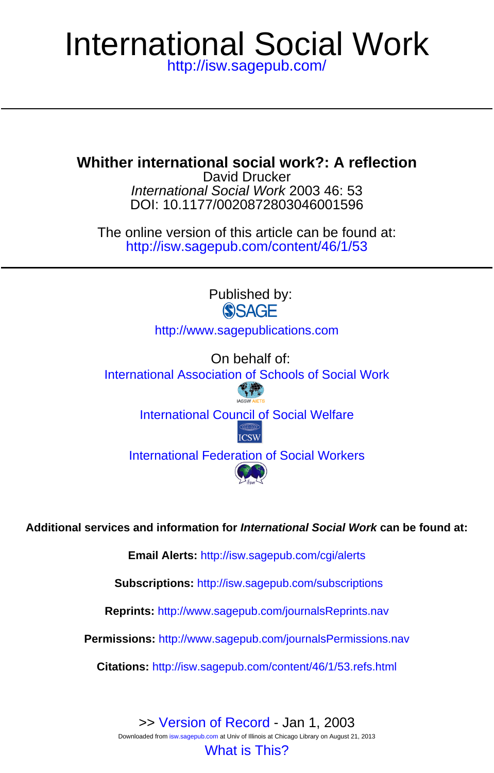## <http://isw.sagepub.com/> International Social Work

**Whither international social work?: A reflection**

DOI: 10.1177/0020872803046001596 International Social Work 2003 46: 53 David Drucker

<http://isw.sagepub.com/content/46/1/53> The online version of this article can be found at:

Published by:

**SSAGE** <http://www.sagepublications.com> On behalf of: [International Association of Schools of Social Work](http://www.iassw-aiets.org/) [International Council of Social Welfare](http://www.icsw.org) **ICSW** [International Federation of Social Workers](http://www.ifsw.org)

**Additional services and information for International Social Work can be found at:**

**Email Alerts:** <http://isw.sagepub.com/cgi/alerts>

**Subscriptions:** <http://isw.sagepub.com/subscriptions>

**Reprints:** <http://www.sagepub.com/journalsReprints.nav>

**Permissions:** <http://www.sagepub.com/journalsPermissions.nav>

**Citations:** <http://isw.sagepub.com/content/46/1/53.refs.html>

>> [Version of Record -](http://isw.sagepub.com/content/46/1/53.full.pdf) Jan 1, 2003

Downloaded from [isw.sagepub.com](http://isw.sagepub.com/) at Univ of Illinois at Chicago Library on August 21, 2013

[What is This?](http://online.sagepub.com/site/sphelp/vorhelp.xhtml)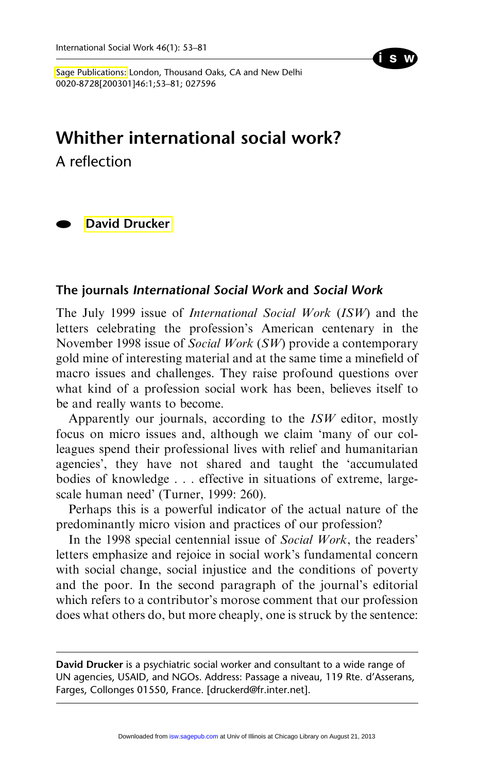Sage Publications: London, Thousand Oaks, CA and New Delhi 0020-8728[200301]46:1;53-81; 027596

# Whither international social work?

A reflection

**David Drucker** 

#### The journals International Social Work and Social Work

The July 1999 issue of *International Social Work (ISW)* and the letters celebrating the profession's American centenary in the November 1998 issue of *Social Work* (SW) provide a contemporary gold mine of interesting material and at the same time a minefield of macro issues and challenges. They raise profound questions over what kind of a profession social work has been, believes itself to be and really wants to become.

Apparently our journals, according to the  $ISW$  editor, mostly focus on micro issues and, although we claim 'many of our colleagues spend their professional lives with relief and humanitarian agencies', they have not shared and taught the 'accumulated bodies of knowledge . . . effective in situations of extreme, largescale human need' (Turner, 1999: 260).

Perhaps this is a powerful indicator of the actual nature of the predominantly micro vision and practices of our profession?

In the 1998 special centennial issue of *Social Work*, the readers' letters emphasize and rejoice in social work's fundamental concern with social change, social injustice and the conditions of poverty and the poor. In the second paragraph of the journal's editorial which refers to a contributor's morose comment that our profession does what others do, but more cheaply, one is struck by the sentence:

David Drucker is a psychiatric social worker and consultant to a wide range of UN agencies, USAID, and NGOs. Address: Passage a niveau, 119 Rte. d'Asserans, Farges, Collonges 01550, France. [druckerd@fr.inter.net].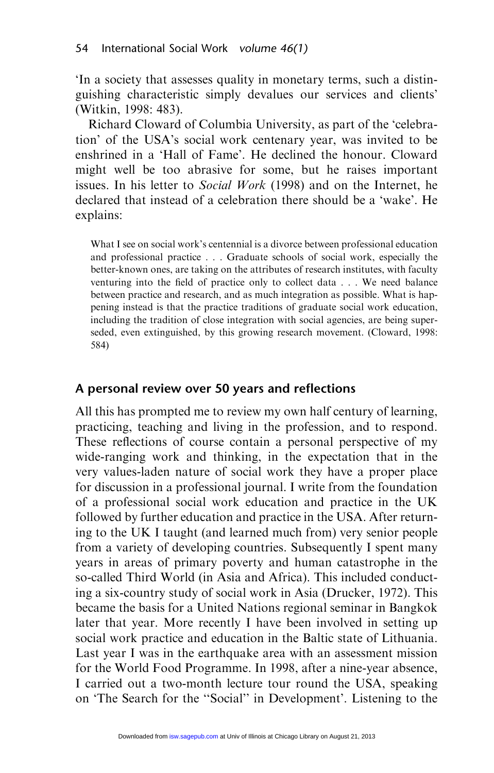In a society that assesses quality in monetary terms, such a distinguishing characteristic simply devalues our services and clients' (Witkin, 1998: 483).

Richard Cloward of Columbia University, as part of the 'celebration' of the USA's social work centenary year, was invited to be enshrined in a 'Hall of Fame'. He declined the honour. Cloward might well be too abrasive for some, but he raises important issues. In his letter to Social Work (1998) and on the Internet, he declared that instead of a celebration there should be a 'wake'. He explains:

What I see on social work's centennial is a divorce between professional education and professional practice . . . Graduate schools of social work, especially the better-known ones, are taking on the attributes of research institutes, with faculty venturing into the field of practice only to collect data . . . We need balance between practice and research, and as much integration as possible. What is happening instead is that the practice traditions of graduate social work education, including the tradition of close integration with social agencies, are being superseded, even extinguished, by this growing research movement. (Cloward, 1998: 584)

#### A personal review over 50 years and reflections

All this has prompted me to review my own half century of learning, practicing, teaching and living in the profession, and to respond. These reflections of course contain a personal perspective of my wide-ranging work and thinking, in the expectation that in the very values-laden nature of social work they have a proper place for discussion in a professional journal. I write from the foundation of a professional social work education and practice in the UK followed by further education and practice in the USA. After returning to the UK I taught (and learned much from) very senior people from a variety of developing countries. Subsequently I spent many years in areas of primary poverty and human catastrophe in the so-called Third World (in Asia and Africa). This included conducting a six-country study of social work in Asia (Drucker, 1972). This became the basis for a United Nations regional seminar in Bangkok later that year. More recently I have been involved in setting up social work practice and education in the Baltic state of Lithuania. Last year I was in the earthquake area with an assessment mission for the World Food Programme. In 1998, after a nine-year absence, I carried out a two-month lecture tour round the USA, speaking on 'The Search for the "Social" in Development'. Listening to the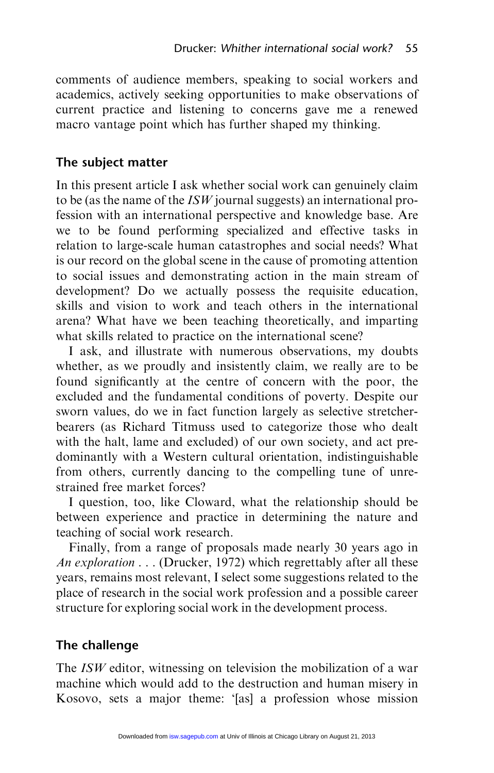comments of audience members, speaking to social workers and academics, actively seeking opportunities to make observations of current practice and listening to concerns gave me a renewed macro vantage point which has further shaped my thinking.

#### The subject matter

In this present article I ask whether social work can genuinely claim to be (as the name of the  $ISW$  journal suggests) an international profession with an international perspective and knowledge base. Are we to be found performing specialized and effective tasks in relation to large-scale human catastrophes and social needs? What is our record on the global scene in the cause of promoting attention to social issues and demonstrating action in the main stream of development? Do we actually possess the requisite education, skills and vision to work and teach others in the international arena? What have we been teaching theoretically, and imparting what skills related to practice on the international scene?

I ask, and illustrate with numerous observations, my doubts whether, as we proudly and insistently claim, we really are to be found significantly at the centre of concern with the poor, the excluded and the fundamental conditions of poverty. Despite our sworn values, do we in fact function largely as selective stretcherbearers (as Richard Titmuss used to categorize those who dealt with the halt, lame and excluded) of our own society, and act predominantly with a Western cultural orientation, indistinguishable from others, currently dancing to the compelling tune of unrestrained free market forces?

I question, too, like Cloward, what the relationship should be between experience and practice in determining the nature and teaching of social work research.

Finally, from a range of proposals made nearly 30 years ago in An exploration . . . (Drucker, 1972) which regrettably after all these years, remains most relevant, I select some suggestions related to the place of research in the social work profession and a possible career structure for exploring social work in the development process.

#### The challenge

The ISW editor, witnessing on television the mobilization of a war machine which would add to the destruction and human misery in Kosovo, sets a major theme: '[as] a profession whose mission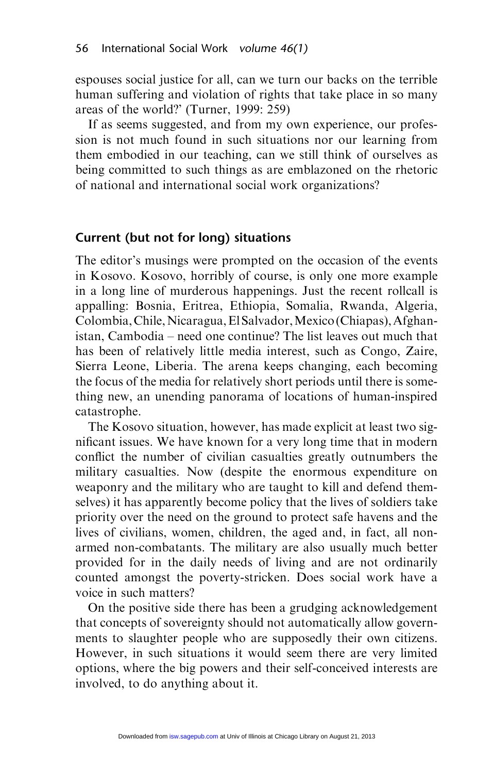espouses social justice for all, can we turn our backs on the terrible human suffering and violation of rights that take place in so many areas of the world?' (Turner, 1999: 259)

If as seems suggested, and from my own experience, our profession is not much found in such situations nor our learning from them embodied in our teaching, can we still think of ourselves as being committed to such things as are emblazoned on the rhetoric of national and international social work organizations?

#### Current (but not for long) situations

The editor's musings were prompted on the occasion of the events in Kosovo. Kosovo, horribly of course, is only one more example in a long line of murderous happenings. Just the recent rollcall is appalling: Bosnia, Eritrea, Ethiopia, Somalia, Rwanda, Algeria, Colombia, Chile, Nicaragua, El Salvador, Mexico (Chiapas), Afghanistan, Cambodia – need one continue? The list leaves out much that has been of relatively little media interest, such as Congo, Zaire, Sierra Leone, Liberia. The arena keeps changing, each becoming the focus of the media for relatively short periods until there is something new, an unending panorama of locations of human-inspired catastrophe.

The Kosovo situation, however, has made explicit at least two significant issues. We have known for a very long time that in modern conflict the number of civilian casualties greatly outnumbers the military casualties. Now (despite the enormous expenditure on weaponry and the military who are taught to kill and defend themselves) it has apparently become policy that the lives of soldiers take priority over the need on the ground to protect safe havens and the lives of civilians, women, children, the aged and, in fact, all nonarmed non-combatants. The military are also usually much better provided for in the daily needs of living and are not ordinarily counted amongst the poverty-stricken. Does social work have a voice in such matters?

On the positive side there has been a grudging acknowledgement that concepts of sovereignty should not automatically allow governments to slaughter people who are supposedly their own citizens. However, in such situations it would seem there are very limited options, where the big powers and their self-conceived interests are involved, to do anything about it.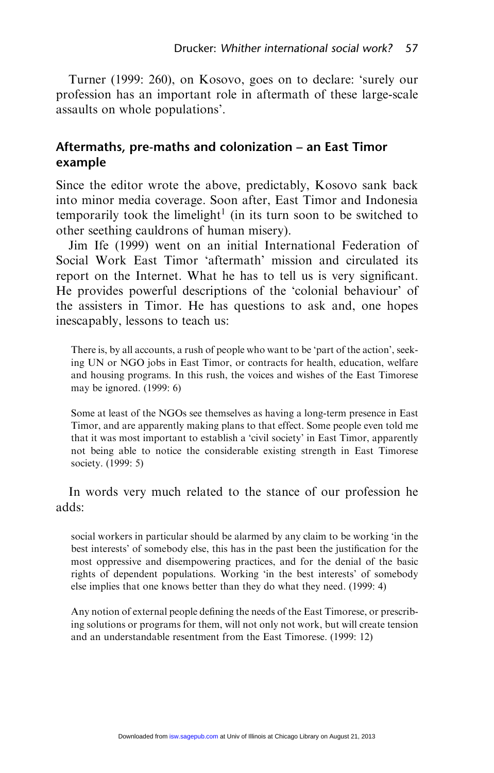Turner (1999: 260), on Kosovo, goes on to declare: 'surely our profession has an important role in aftermath of these large-scale assaults on whole populations'.

#### Aftermaths, pre-maths and colonization - an East Timor example

Since the editor wrote the above, predictably, Kosovo sank back into minor media coverage. Soon after, East Timor and Indonesia temporarily took the limelight<sup>1</sup> (in its turn soon to be switched to other seething cauldrons of human misery).

Jim Ife (1999) went on an initial International Federation of Social Work East Timor 'aftermath' mission and circulated its report on the Internet. What he has to tell us is very significant. He provides powerful descriptions of the 'colonial behaviour' of the assisters in Timor. He has questions to ask and, one hopes inescapably, lessons to teach us:

There is, by all accounts, a rush of people who want to be 'part of the action', seeking UN or NGO jobs in East Timor, or contracts for health, education, welfare and housing programs. In this rush, the voices and wishes of the East Timorese may be ignored.  $(1999: 6)$ 

Some at least of the NGOs see themselves as having a long-term presence in East Timor, and are apparently making plans to that effect. Some people even told me that it was most important to establish a 'civil society' in East Timor, apparently not being able to notice the considerable existing strength in East Timorese society. (1999: 5)

In words very much related to the stance of our profession he adds:

social workers in particular should be alarmed by any claim to be working 'in the best interests' of somebody else, this has in the past been the justification for the most oppressive and disempowering practices, and for the denial of the basic rights of dependent populations. Working 'in the best interests' of somebody else implies that one knows better than they do what they need. (1999: 4)

Any notion of external people defining the needs of the East Timorese, or prescribing solutions or programs for them, will not only not work, but will create tension and an understandable resentment from the East Timorese. (1999: 12)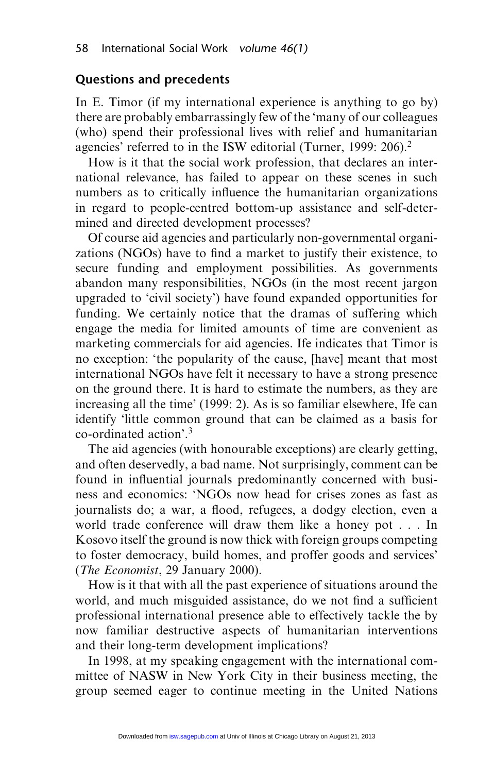#### **Questions and precedents**

In E. Timor (if my international experience is anything to go by) there are probably embarrassingly few of the 'many of our colleagues (who) spend their professional lives with relief and humanitarian agencies' referred to in the ISW editorial (Turner, 1999: 206).<sup>2</sup>

How is it that the social work profession, that declares an international relevance, has failed to appear on these scenes in such numbers as to critically influence the humanitarian organizations in regard to people-centred bottom-up assistance and self-determined and directed development processes?

Of course aid agencies and particularly non-governmental organizations (NGOs) have to find a market to justify their existence, to secure funding and employment possibilities. As governments abandon many responsibilities. NGOs (in the most recent jargon upgraded to 'civil society') have found expanded opportunities for funding. We certainly notice that the dramas of suffering which engage the media for limited amounts of time are convenient as marketing commercials for aid agencies. If e indicates that Timor is no exception: 'the popularity of the cause, [have] meant that most international NGOs have felt it necessary to have a strong presence on the ground there. It is hard to estimate the numbers, as they are increasing all the time' (1999: 2). As is so familiar elsewhere, Ife can identify 'little common ground that can be claimed as a basis for co-ordinated action'. $3$ 

The aid agencies (with honourable exceptions) are clearly getting, and often deservedly, a bad name. Not surprisingly, comment can be found in influential journals predominantly concerned with business and economics: 'NGOs now head for crises zones as fast as journalists do; a war, a flood, refugees, a dodgy election, even a world trade conference will draw them like a honey pot . . . In Kosovo itself the ground is now thick with foreign groups competing to foster democracy, build homes, and proffer goods and services' (The Economist, 29 January 2000).

How is it that with all the past experience of situations around the world, and much misguided assistance, do we not find a sufficient professional international presence able to effectively tackle the by now familiar destructive aspects of humanitarian interventions and their long-term development implications?

In 1998, at my speaking engagement with the international committee of NASW in New York City in their business meeting, the group seemed eager to continue meeting in the United Nations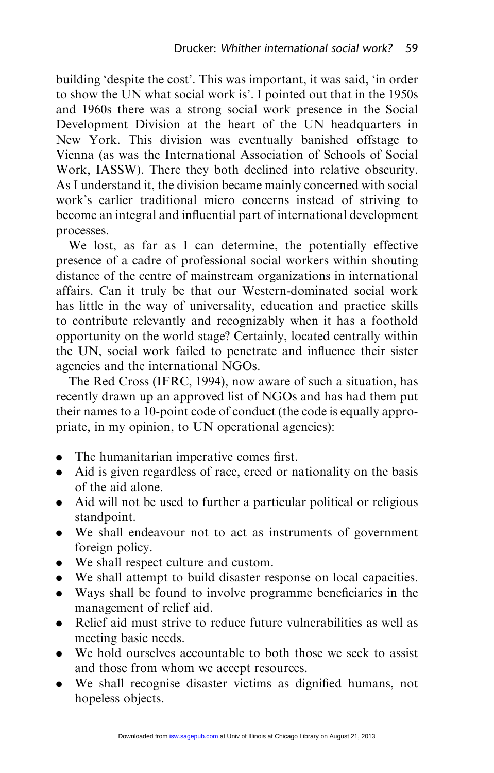building 'despite the cost'. This was important, it was said, 'in order to show the UN what social work is'. I pointed out that in the 1950s and 1960s there was a strong social work presence in the Social Development Division at the heart of the UN headquarters in New York. This division was eventually banished offstage to Vienna (as was the International Association of Schools of Social Work, IASSW). There they both declined into relative obscurity. As I understand it, the division became mainly concerned with social work's earlier traditional micro concerns instead of striving to become an integral and influential part of international development processes.

We lost, as far as I can determine, the potentially effective presence of a cadre of professional social workers within shouting distance of the centre of mainstream organizations in international affairs. Can it truly be that our Western-dominated social work has little in the way of universality, education and practice skills to contribute relevantly and recognizably when it has a foothold opportunity on the world stage? Certainly, located centrally within the UN, social work failed to penetrate and influence their sister agencies and the international NGOs.

The Red Cross (IFRC, 1994), now aware of such a situation, has recently drawn up an approved list of NGOs and has had them put their names to a 10-point code of conduct (the code is equally appropriate, in my opinion, to UN operational agencies):

- The humanitarian imperative comes first.
- Aid is given regardless of race, creed or nationality on the basis of the aid alone.
- Aid will not be used to further a particular political or religious standpoint.
- We shall endeavour not to act as instruments of government foreign policy.
- We shall respect culture and custom.
- We shall attempt to build disaster response on local capacities.
- Ways shall be found to involve programme beneficiaries in the management of relief aid.
- Relief aid must strive to reduce future vulnerabilities as well as meeting basic needs.
- We hold ourselves accountable to both those we seek to assist and those from whom we accept resources.
- We shall recognise disaster victims as dignified humans, not hopeless objects.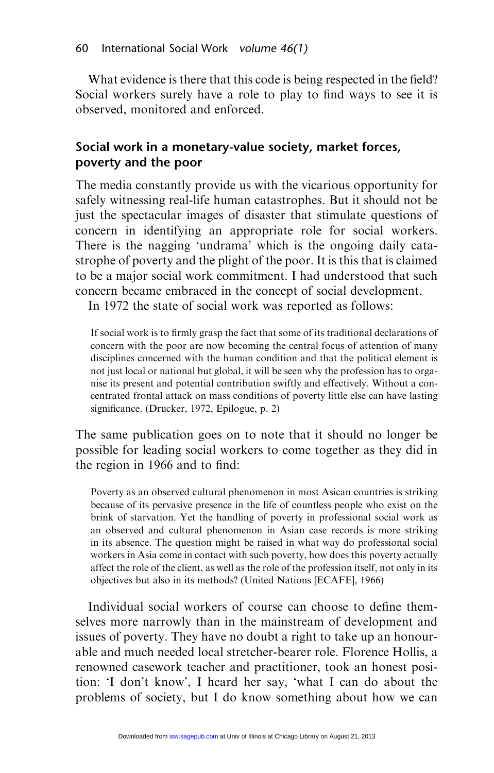What evidence is there that this code is being respected in the field? Social workers surely have a role to play to find ways to see it is observed, monitored and enforced.

#### Social work in a monetary-value society, market forces, poverty and the poor

The media constantly provide us with the vicarious opportunity for safely witnessing real-life human catastrophes. But it should not be just the spectacular images of disaster that stimulate questions of concern in identifying an appropriate role for social workers. There is the nagging 'undrama' which is the ongoing daily catastrophe of poverty and the plight of the poor. It is this that is claimed to be a major social work commitment. I had understood that such concern became embraced in the concept of social development.

In 1972 the state of social work was reported as follows:

If social work is to firmly grasp the fact that some of its traditional declarations of concern with the poor are now becoming the central focus of attention of many disciplines concerned with the human condition and that the political element is not just local or national but global, it will be seen why the profession has to organise its present and potential contribution swiftly and effectively. Without a concentrated frontal attack on mass conditions of poverty little else can have lasting significance. (Drucker, 1972, Epilogue, p. 2)

The same publication goes on to note that it should no longer be. possible for leading social workers to come together as they did in the region in 1966 and to find:

Poverty as an observed cultural phenomenon in most Asican countries is striking because of its pervasive presence in the life of countless people who exist on the brink of starvation. Yet the handling of poverty in professional social work as an observed and cultural phenomenon in Asian case records is more striking in its absence. The question might be raised in what way do professional social workers in Asia come in contact with such poverty, how does this poverty actually affect the role of the client, as well as the role of the profession itself, not only in its objectives but also in its methods? (United Nations [ECAFE], 1966)

Individual social workers of course can choose to define themselves more narrowly than in the mainstream of development and issues of poverty. They have no doubt a right to take up an honourable and much needed local stretcher-bearer role. Florence Hollis, a renowned casework teacher and practitioner, took an honest position: 'I don't know', I heard her say, 'what I can do about the problems of society, but I do know something about how we can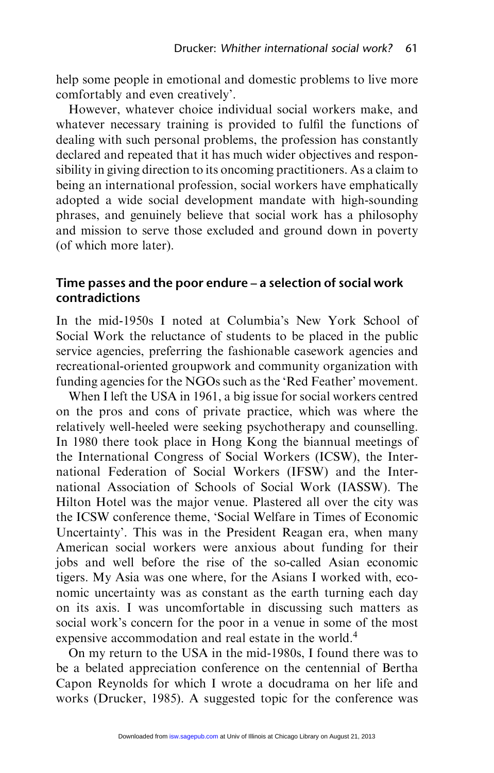help some people in emotional and domestic problems to live more comfortably and even creatively'.

However, whatever choice individual social workers make, and whatever necessary training is provided to fulfil the functions of dealing with such personal problems, the profession has constantly declared and repeated that it has much wider objectives and responsibility in giving direction to its one oming practitioners. As a claim to being an international profession, social workers have emphatically adopted a wide social development mandate with high-sounding phrases, and genuinely believe that social work has a philosophy and mission to serve those excluded and ground down in poverty (of which more later).

#### Time passes and the poor endure – a selection of social work contradictions

In the mid-1950s I noted at Columbia's New York School of Social Work the reluctance of students to be placed in the public service agencies, preferring the fashionable casework agencies and recreational-oriented groupwork and community organization with funding agencies for the NGOs such as the 'Red Feather' movement.

When I left the USA in 1961, a big issue for social workers centred on the pros and cons of private practice, which was where the relatively well-heeled were seeking psychotherapy and counselling. In 1980 there took place in Hong Kong the biannual meetings of the International Congress of Social Workers (ICSW), the International Federation of Social Workers (IFSW) and the International Association of Schools of Social Work (IASSW). The Hilton Hotel was the major venue. Plastered all over the city was the ICSW conference theme. 'Social Welfare in Times of Economic Uncertainty'. This was in the President Reagan era, when many American social workers were anxious about funding for their jobs and well before the rise of the so-called Asian economic tigers. My Asia was one where, for the Asians I worked with, economic uncertainty was as constant as the earth turning each day on its axis. I was uncomfortable in discussing such matters as social work's concern for the poor in a venue in some of the most expensive accommodation and real estate in the world.<sup>4</sup>

On my return to the USA in the mid-1980s. I found there was to be a belated appreciation conference on the centennial of Bertha Capon Reynolds for which I wrote a docudrama on her life and works (Drucker, 1985). A suggested topic for the conference was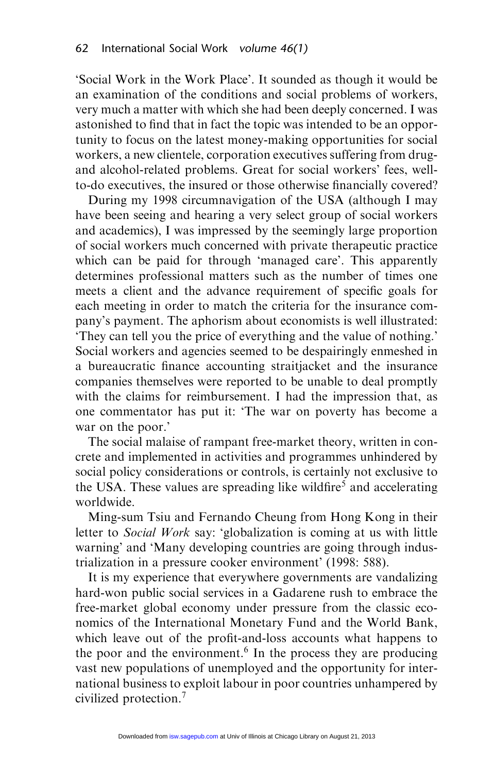'Social Work in the Work Place'. It sounded as though it would be an examination of the conditions and social problems of workers, very much a matter with which she had been deeply concerned. I was astonished to find that in fact the topic was intended to be an opportunity to focus on the latest money-making opportunities for social workers, a new clientele, corporation executives suffering from drugand alcohol-related problems. Great for social workers' fees, wellto-do executives, the insured or those otherwise financially covered?

During my 1998 circumnavigation of the USA (although I may have been seeing and hearing a very select group of social workers and academics). I was impressed by the seemingly large proportion of social workers much concerned with private therapeutic practice which can be paid for through 'managed care'. This apparently determines professional matters such as the number of times one meets a client and the advance requirement of specific goals for each meeting in order to match the criteria for the insurance company's payment. The aphorism about economists is well illustrated: 'They can tell you the price of everything and the value of nothing.' Social workers and agencies seemed to be despairingly enmeshed in a bureaucratic finance accounting straitjacket and the insurance companies themselves were reported to be unable to deal promptly with the claims for reimbursement. I had the impression that, as one commentator has put it: 'The war on poverty has become a war on the poor.'

The social malaise of rampant free-market theory, written in concrete and implemented in activities and programmes unhindered by social policy considerations or controls, is certainly not exclusive to the USA. These values are spreading like wildfire<sup>5</sup> and accelerating worldwide.

Ming-sum Tsiu and Fernando Cheung from Hong Kong in their letter to *Social Work* say: 'globalization is coming at us with little warning' and 'Many developing countries are going through industrialization in a pressure cooker environment' (1998: 588).

It is my experience that everywhere governments are vandalizing hard-won public social services in a Gadarene rush to embrace the free-market global economy under pressure from the classic economics of the International Monetary Fund and the World Bank, which leave out of the profit-and-loss accounts what happens to the poor and the environment.<sup>6</sup> In the process they are producing vast new populations of unemployed and the opportunity for international business to exploit labour in poor countries unhampered by civilized protection.<sup>7</sup>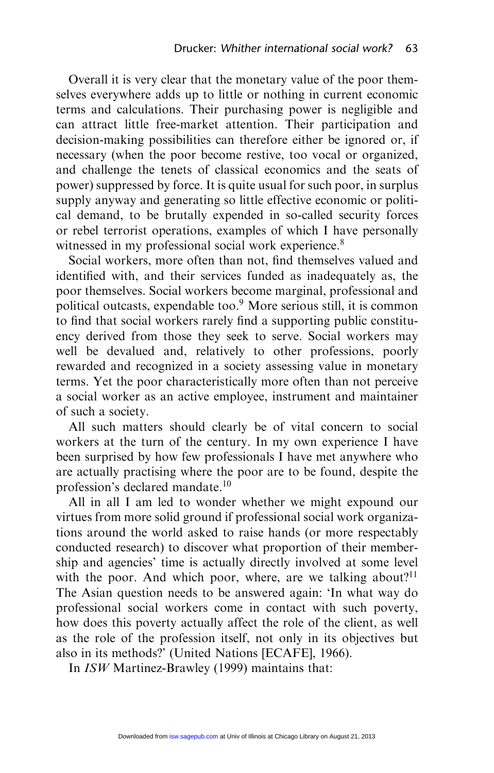Overall it is very clear that the monetary value of the poor themselves everywhere adds up to little or nothing in current economic terms and calculations. Their purchasing power is negligible and can attract little free-market attention. Their participation and decision-making possibilities can therefore either be ignored or, if necessary (when the poor become restive, too vocal or organized, and challenge the tenets of classical economics and the seats of power) suppressed by force. It is quite usual for such poor, in surplus supply anyway and generating so little effective economic or political demand, to be brutally expended in so-called security forces or rebel terrorist operations, examples of which I have personally witnessed in my professional social work experience.<sup>8</sup>

Social workers, more often than not, find themselves valued and identified with, and their services funded as inadequately as, the poor themselves. Social workers become marginal, professional and political outcasts, expendable too.<sup>9</sup> More serious still, it is common to find that social workers rarely find a supporting public constituency derived from those they seek to serve. Social workers may well be devalued and, relatively to other professions, poorly rewarded and recognized in a society assessing value in monetary terms. Yet the poor characteristically more often than not perceive a social worker as an active employee, instrument and maintainer of such a society.

All such matters should clearly be of vital concern to social workers at the turn of the century. In my own experience I have been surprised by how few professionals I have met anywhere who are actually practising where the poor are to be found, despite the profession's declared mandate.<sup>10</sup>

All in all I am led to wonder whether we might expound our virtues from more solid ground if professional social work organizations around the world asked to raise hands (or more respectably conducted research) to discover what proportion of their membership and agencies' time is actually directly involved at some level with the poor. And which poor, where, are we talking about?<sup>11</sup> The Asian question needs to be answered again: 'In what way do professional social workers come in contact with such poverty. how does this poverty actually affect the role of the client, as well as the role of the profession itself, not only in its objectives but also in its methods?' (United Nations [ECAFE], 1966).

In ISW Martinez-Brawley (1999) maintains that: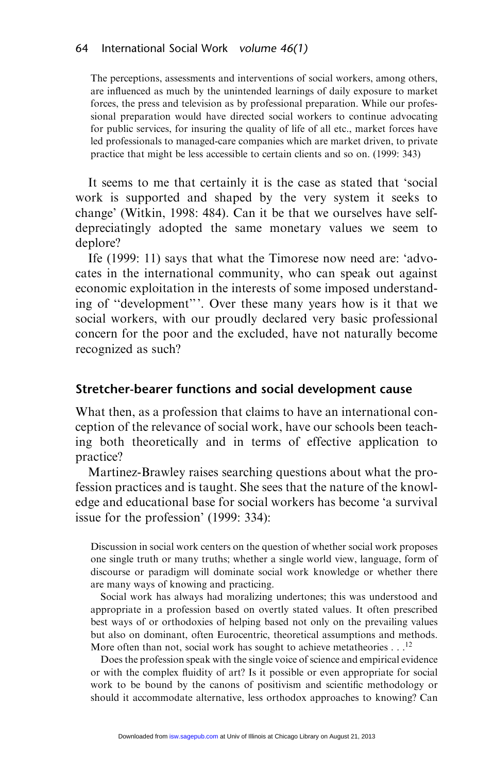The perceptions, assessments and interventions of social workers, among others, are influenced as much by the unintended learnings of daily exposure to market forces, the press and television as by professional preparation. While our professional preparation would have directed social workers to continue advocating for public services, for insuring the quality of life of all etc., market forces have led professionals to managed-care companies which are market driven, to private practice that might be less accessible to certain clients and so on. (1999: 343)

It seems to me that certainly it is the case as stated that 'social work is supported and shaped by the very system it seeks to change' (Witkin, 1998: 484). Can it be that we ourselves have selfdepreciatingly adopted the same monetary values we seem to deplore?

Ife (1999: 11) says that what the Timorese now need are: 'advocates in the international community, who can speak out against economic exploitation in the interests of some imposed understanding of "development". Over these many years how is it that we social workers, with our proudly declared very basic professional concern for the poor and the excluded, have not naturally become recognized as such?

#### Stretcher-bearer functions and social development cause

What then, as a profession that claims to have an international conception of the relevance of social work, have our schools been teaching both theoretically and in terms of effective application to practice?

Martinez-Brawley raises searching questions about what the profession practices and is taught. She sees that the nature of the knowledge and educational base for social workers has become 'a survival issue for the profession' (1999: 334):

Discussion in social work centers on the question of whether social work proposes one single truth or many truths; whether a single world view, language, form of discourse or paradigm will dominate social work knowledge or whether there are many ways of knowing and practicing.

Social work has always had moralizing undertones; this was understood and appropriate in a profession based on overtly stated values. It often prescribed best ways of or orthodoxies of helping based not only on the prevailing values but also on dominant, often Eurocentric, theoretical assumptions and methods. More often than not, social work has sought to achieve metatheories .  $\cdot$ .<sup>12</sup>

Does the profession speak with the single voice of science and empirical evidence or with the complex fluidity of art? Is it possible or even appropriate for social work to be bound by the canons of positivism and scientific methodology or should it accommodate alternative, less orthodox approaches to knowing? Can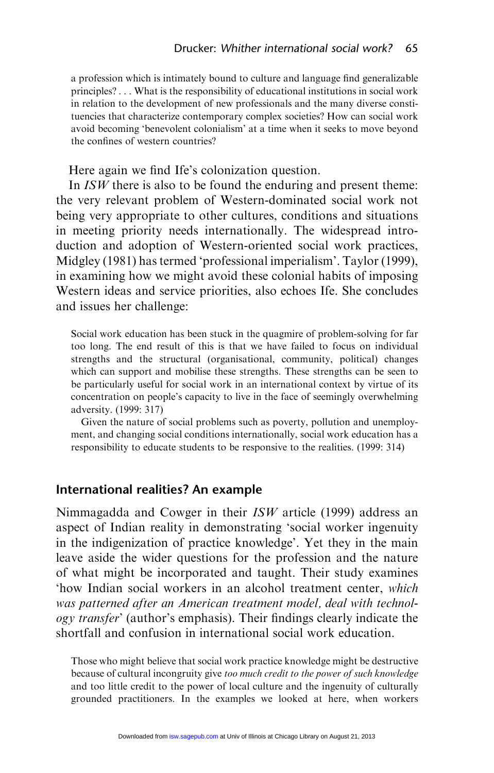a profession which is intimately bound to culture and language find generalizable principles?... What is the responsibility of educational institutions in social work in relation to the development of new professionals and the many diverse constituencies that characterize contemporary complex societies? How can social work avoid becoming 'benevolent colonialism' at a time when it seeks to move beyond the confines of western countries?

Here again we find Ife's colonization question.

In  $ISW$  there is also to be found the enduring and present theme: the very relevant problem of Western-dominated social work not being very appropriate to other cultures, conditions and situations in meeting priority needs internationally. The widespread introduction and adoption of Western-oriented social work practices, Midgley (1981) has termed 'professional imperialism'. Taylor (1999), in examining how we might avoid these colonial habits of imposing Western ideas and service priorities, also echoes Ife. She concludes and issues her challenge:

Social work education has been stuck in the quagmire of problem-solving for far too long. The end result of this is that we have failed to focus on individual strengths and the structural (organisational, community, political) changes which can support and mobilise these strengths. These strengths can be seen to be particularly useful for social work in an international context by virtue of its concentration on people's capacity to live in the face of seemingly overwhelming adversity. (1999: 317)

Given the nature of social problems such as poverty, pollution and unemployment, and changing social conditions internationally, social work education has a responsibility to educate students to be responsive to the realities. (1999: 314)

#### International realities? An example

Nimmagadda and Cowger in their  $ISW$  article (1999) address an aspect of Indian reality in demonstrating 'social worker ingenuity in the indigenization of practice knowledge'. Yet they in the main leave aside the wider questions for the profession and the nature of what might be incorporated and taught. Their study examines 'how Indian social workers in an alcohol treatment center, which was patterned after an American treatment model, deal with technology transfer' (author's emphasis). Their findings clearly indicate the shortfall and confusion in international social work education.

Those who might believe that social work practice knowledge might be destructive because of cultural incongruity give too much credit to the power of such knowledge and too little credit to the power of local culture and the ingenuity of culturally grounded practitioners. In the examples we looked at here, when workers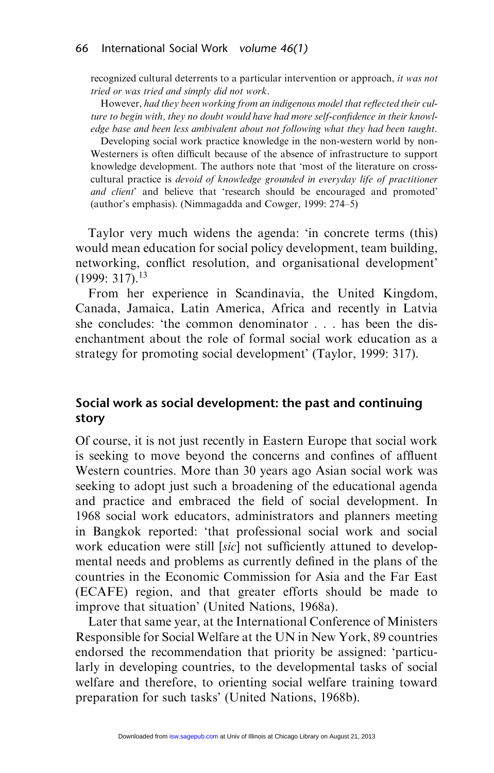recognized cultural deterrents to a particular intervention or approach, it was not tried or was tried and simply did not work.

However, had they been working from an indigenous model that reflected their culture to begin with, they no doubt would have had more self-confidence in their knowledge base and been less ambivalent about not following what they had been taught.

Developing social work practice knowledge in the non-western world by non-Westerners is often difficult because of the absence of infrastructure to support knowledge development. The authors note that 'most of the literature on crosscultural practice is devoid of knowledge grounded in everyday life of practitioner and client' and believe that 'research should be encouraged and promoted' (author's emphasis). (Nimmagadda and Cowger, 1999: 274-5)

Taylor very much widens the agenda: 'in concrete terms (this) would mean education for social policy development, team building, networking, conflict resolution, and organisational development'  $(1999: 317).$ <sup>13</sup>

From her experience in Scandinavia, the United Kingdom, Canada, Jamaica, Latin America, Africa and recently in Latvia she concludes: 'the common denominator . . . has been the disenchantment about the role of formal social work education as a strategy for promoting social development' (Taylor, 1999: 317).

#### Social work as social development: the past and continuing story

Of course, it is not just recently in Eastern Europe that social work is seeking to move beyond the concerns and confines of affluent Western countries. More than 30 years ago Asian social work was seeking to adopt just such a broadening of the educational agenda and practice and embraced the field of social development. In 1968 social work educators, administrators and planners meeting in Bangkok reported: 'that professional social work and social work education were still [sic] not sufficiently attuned to developmental needs and problems as currently defined in the plans of the countries in the Economic Commission for Asia and the Far East (ECAFE) region, and that greater efforts should be made to improve that situation' (United Nations, 1968a).

Later that same year, at the International Conference of Ministers Responsible for Social Welfare at the UN in New York, 89 countries endorsed the recommendation that priority be assigned: 'particularly in developing countries, to the developmental tasks of social welfare and therefore, to orienting social welfare training toward preparation for such tasks' (United Nations, 1968b).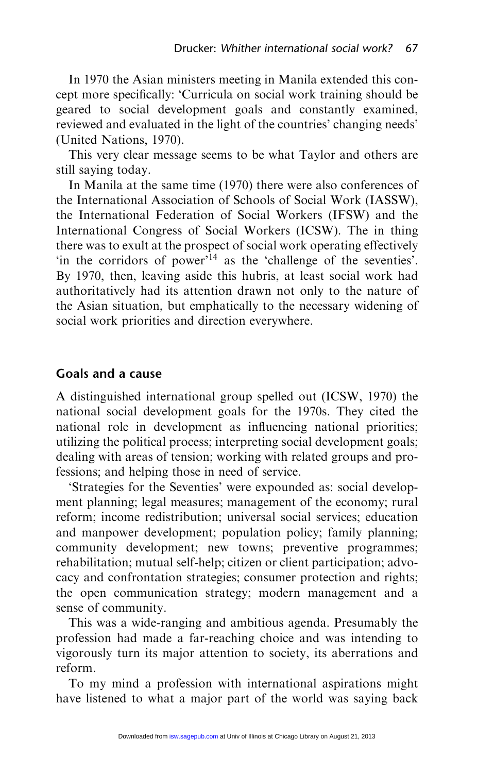In 1970 the Asian ministers meeting in Manila extended this concept more specifically: 'Curricula on social work training should be geared to social development goals and constantly examined, reviewed and evaluated in the light of the countries' changing needs' (United Nations, 1970).

This very clear message seems to be what Taylor and others are still saving today.

In Manila at the same time (1970) there were also conferences of the International Association of Schools of Social Work (IASSW), the International Federation of Social Workers (IFSW) and the International Congress of Social Workers (ICSW). The in thing there was to exult at the prospect of social work operating effectively 'in the corridors of power<sup>,14</sup> as the 'challenge of the seventies'. By 1970, then, leaving aside this hubris, at least social work had authoritatively had its attention drawn not only to the nature of the Asian situation, but emphatically to the necessary widening of social work priorities and direction everywhere.

#### Goals and a cause

A distinguished international group spelled out (ICSW, 1970) the national social development goals for the 1970s. They cited the national role in development as influencing national priorities; utilizing the political process; interpreting social development goals; dealing with areas of tension; working with related groups and professions; and helping those in need of service.

'Strategies for the Seventies' were expounded as: social development planning; legal measures; management of the economy; rural reform: income redistribution: universal social services: education and manpower development; population policy; family planning; community development; new towns; preventive programmes; rehabilitation; mutual self-help; citizen or client participation; advocacy and confrontation strategies; consumer protection and rights; the open communication strategy; modern management and a sense of community.

This was a wide-ranging and ambitious agenda. Presumably the profession had made a far-reaching choice and was intending to vigorously turn its major attention to society, its aberrations and reform.

To my mind a profession with international aspirations might have listened to what a major part of the world was saying back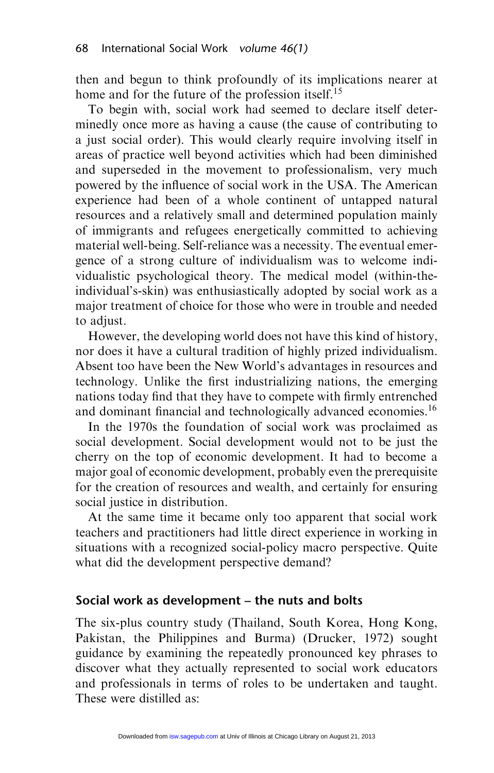then and begun to think profoundly of its implications nearer at home and for the future of the profession itself.<sup>15</sup>

To begin with, social work had seemed to declare itself determinedly once more as having a cause (the cause of contributing to a just social order). This would clearly require involving itself in areas of practice well beyond activities which had been diminished and superseded in the movement to professionalism, very much powered by the influence of social work in the USA. The American experience had been of a whole continent of untapped natural resources and a relatively small and determined population mainly of immigrants and refugees energetically committed to achieving material well-being. Self-reliance was a necessity. The eventual emergence of a strong culture of individualism was to welcome individualistic psychological theory. The medical model (within-theindividual's-skin) was enthusiastically adopted by social work as a major treatment of choice for those who were in trouble and needed to adjust.

However, the developing world does not have this kind of history, nor does it have a cultural tradition of highly prized individualism. Absent too have been the New World's advantages in resources and technology. Unlike the first industrializing nations, the emerging nations today find that they have to compete with firmly entrenched and dominant financial and technologically advanced economies.<sup>16</sup>

In the 1970s the foundation of social work was proclaimed as social development. Social development would not to be just the cherry on the top of economic development. It had to become a major goal of economic development, probably even the prerequisite for the creation of resources and wealth, and certainly for ensuring social justice in distribution.

At the same time it became only too apparent that social work teachers and practitioners had little direct experience in working in situations with a recognized social-policy macro perspective. Ouite what did the development perspective demand?

#### Social work as development – the nuts and bolts

The six-plus country study (Thailand, South Korea, Hong Kong, Pakistan, the Philippines and Burma) (Drucker, 1972) sought guidance by examining the repeatedly pronounced key phrases to discover what they actually represented to social work educators and professionals in terms of roles to be undertaken and taught. These were distilled as: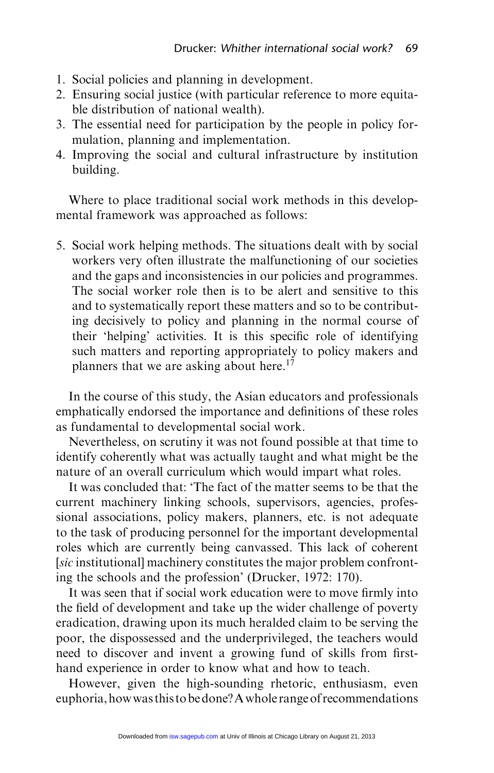- 1. Social policies and planning in development.
- 2. Ensuring social justice (with particular reference to more equitable distribution of national wealth).
- 3. The essential need for participation by the people in policy formulation, planning and implementation.
- 4. Improving the social and cultural infrastructure by institution building.

Where to place traditional social work methods in this developmental framework was approached as follows:

5. Social work helping methods. The situations dealt with by social workers very often illustrate the malfunctioning of our societies and the gaps and inconsistencies in our policies and programmes. The social worker role then is to be alert and sensitive to this and to systematically report these matters and so to be contributing decisively to policy and planning in the normal course of their 'helping' activities. It is this specific role of identifying such matters and reporting appropriately to policy makers and planners that we are asking about here.<sup>17</sup>

In the course of this study, the Asian educators and professionals emphatically endorsed the importance and definitions of these roles as fundamental to developmental social work.

Nevertheless, on scrutiny it was not found possible at that time to identify coherently what was actually taught and what might be the nature of an overall curriculum which would impart what roles.

It was concluded that: 'The fact of the matter seems to be that the current machinery linking schools, supervisors, agencies, professional associations, policy makers, planners, etc. is not adequate to the task of producing personnel for the important developmental roles which are currently being canvassed. This lack of coherent [sic institutional] machinery constitutes the major problem confronting the schools and the profession' (Drucker, 1972: 170).

It was seen that if social work education were to move firmly into the field of development and take up the wider challenge of poverty eradication, drawing upon its much heralded claim to be serving the poor, the dispossessed and the underprivileged, the teachers would need to discover and invent a growing fund of skills from firsthand experience in order to know what and how to teach.

However, given the high-sounding rhetoric, enthusiasm, even euphoria, how was this to be done? A whole range of recommendations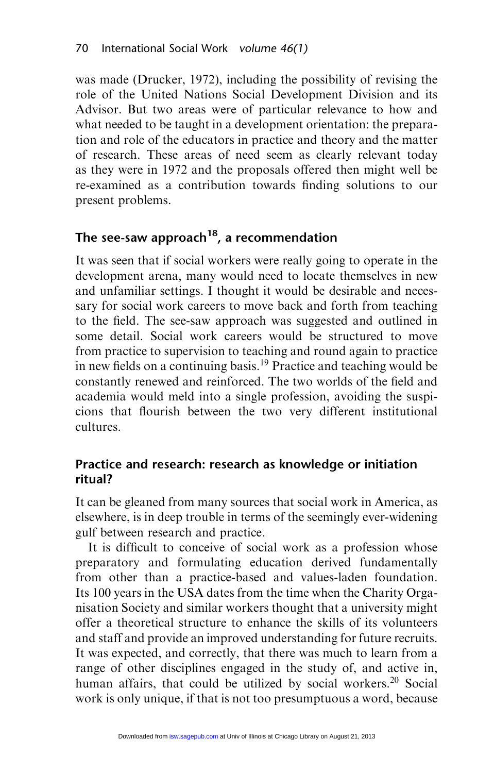was made (Drucker, 1972), including the possibility of revising the role of the United Nations Social Development Division and its Advisor. But two areas were of particular relevance to how and what needed to be taught in a development orientation: the preparation and role of the educators in practice and theory and the matter of research. These areas of need seem as clearly relevant today as they were in 1972 and the proposals offered then might well be re-examined as a contribution towards finding solutions to our present problems.

### The see-saw approach<sup>18</sup>, a recommendation

It was seen that if social workers were really going to operate in the development arena, many would need to locate themselves in new and unfamiliar settings. I thought it would be desirable and necessary for social work careers to move back and forth from teaching to the field. The see-saw approach was suggested and outlined in some detail. Social work careers would be structured to move from practice to supervision to teaching and round again to practice in new fields on a continuing basis.<sup>19</sup> Practice and teaching would be constantly renewed and reinforced. The two worlds of the field and academia would meld into a single profession, avoiding the suspicions that flourish between the two very different institutional cultures.

#### Practice and research: research as knowledge or initiation ritual?

It can be gleaned from many sources that social work in America, as elsewhere, is in deep trouble in terms of the seemingly ever-widening gulf between research and practice.

It is difficult to conceive of social work as a profession whose preparatory and formulating education derived fundamentally from other than a practice-based and values-laden foundation. Its 100 years in the USA dates from the time when the Charity Organisation Society and similar workers thought that a university might offer a theoretical structure to enhance the skills of its volunteers and staff and provide an improved understanding for future recruits. It was expected, and correctly, that there was much to learn from a range of other disciplines engaged in the study of, and active in, human affairs, that could be utilized by social workers.<sup>20</sup> Social work is only unique, if that is not too presumptuous a word, because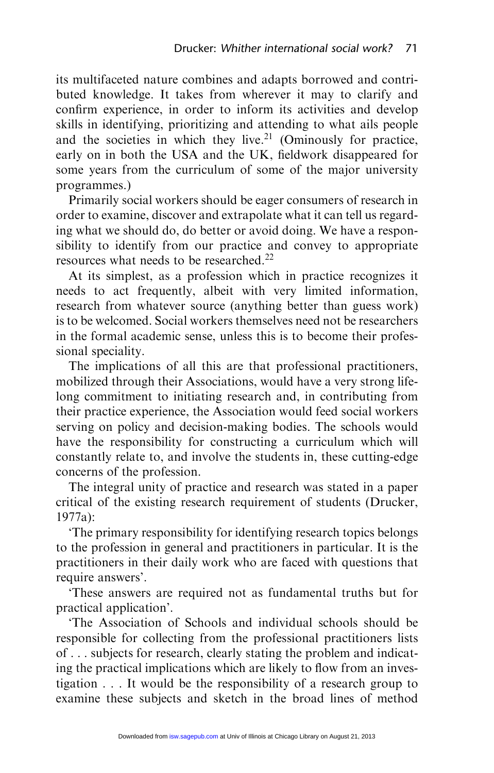its multifaceted nature combines and adapts borrowed and contributed knowledge. It takes from wherever it may to clarify and confirm experience, in order to inform its activities and develop skills in identifying, prioritizing and attending to what ails people and the societies in which they live.<sup>21</sup> (Ominously for practice, early on in both the USA and the UK, fieldwork disappeared for some years from the curriculum of some of the major university programmes.)

Primarily social workers should be eager consumers of research in order to examine, discover and extrapolate what it can tell us regarding what we should do, do better or avoid doing. We have a responsibility to identify from our practice and convey to appropriate resources what needs to be researched.<sup>22</sup>

At its simplest, as a profession which in practice recognizes it needs to act frequently, albeit with very limited information, research from whatever source (anything better than guess work) is to be welcomed. Social workers themselves need not be researchers in the formal academic sense, unless this is to become their professional speciality.

The implications of all this are that professional practitioners, mobilized through their Associations, would have a very strong lifelong commitment to initiating research and, in contributing from their practice experience, the Association would feed social workers serving on policy and decision-making bodies. The schools would have the responsibility for constructing a curriculum which will constantly relate to, and involve the students in, these cutting-edge concerns of the profession.

The integral unity of practice and research was stated in a paper critical of the existing research requirement of students (Drucker,  $1977a$ :

The primary responsibility for identifying research topics belongs to the profession in general and practitioners in particular. It is the practitioners in their daily work who are faced with questions that require answers'.

'These answers are required not as fundamental truths but for practical application'.

The Association of Schools and individual schools should be responsible for collecting from the professional practitioners lists of ... subjects for research, clearly stating the problem and indicating the practical implications which are likely to flow from an investigation . . . It would be the responsibility of a research group to examine these subjects and sketch in the broad lines of method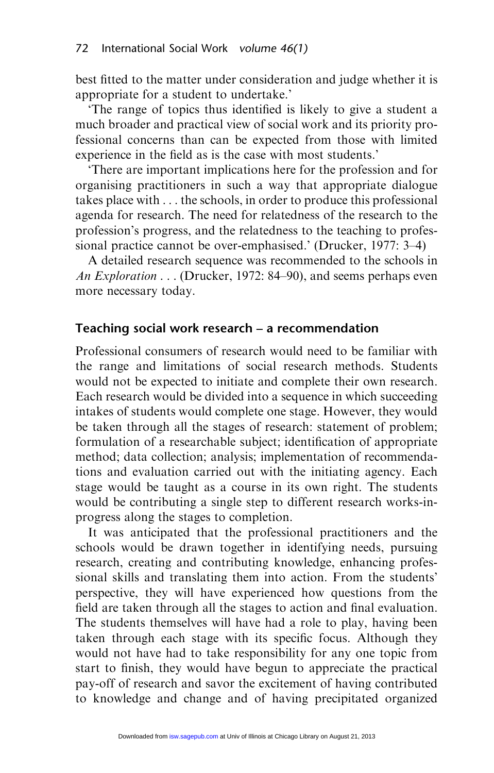best fitted to the matter under consideration and judge whether it is appropriate for a student to undertake.'

The range of topics thus identified is likely to give a student a much broader and practical view of social work and its priority professional concerns than can be expected from those with limited experience in the field as is the case with most students.'

There are important implications here for the profession and for organising practitioners in such a way that appropriate dialogue takes place with ... the schools, in order to produce this professional agenda for research. The need for relatedness of the research to the profession's progress, and the relatedness to the teaching to professional practice cannot be over-emphasised.' (Drucker, 1977: 3–4)

A detailed research sequence was recommended to the schools in An Exploration . . . (Drucker, 1972: 84–90), and seems perhaps even more necessary today.

#### Teaching social work research – a recommendation

Professional consumers of research would need to be familiar with the range and limitations of social research methods. Students would not be expected to initiate and complete their own research. Each research would be divided into a sequence in which succeeding intakes of students would complete one stage. However, they would be taken through all the stages of research: statement of problem; formulation of a researchable subject; identification of appropriate method; data collection; analysis; implementation of recommendations and evaluation carried out with the initiating agency. Each stage would be taught as a course in its own right. The students would be contributing a single step to different research works-inprogress along the stages to completion.

It was anticipated that the professional practitioners and the schools would be drawn together in identifying needs, pursuing research, creating and contributing knowledge, enhancing professional skills and translating them into action. From the students' perspective, they will have experienced how questions from the field are taken through all the stages to action and final evaluation. The students themselves will have had a role to play, having been taken through each stage with its specific focus. Although they would not have had to take responsibility for any one topic from start to finish, they would have begun to appreciate the practical pay-off of research and savor the excitement of having contributed to knowledge and change and of having precipitated organized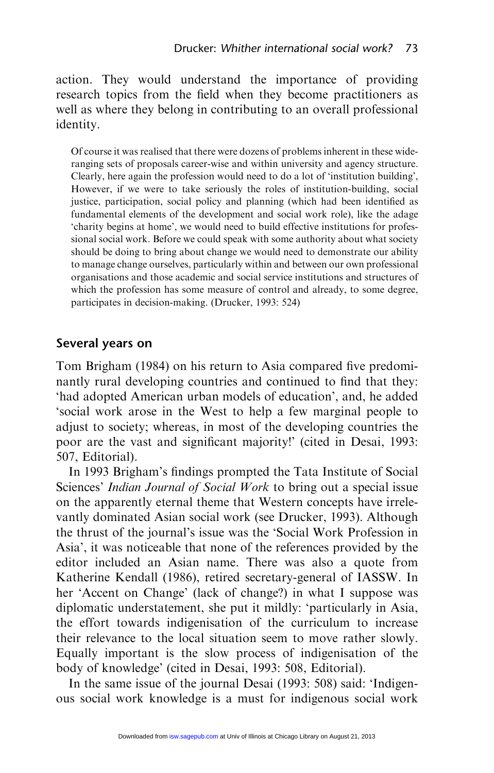action. They would understand the importance of providing research topics from the field when they become practitioners as well as where they belong in contributing to an overall professional identity.

Of course it was realised that there were dozens of problems inherent in these wideranging sets of proposals career-wise and within university and agency structure. Clearly, here again the profession would need to do a lot of 'institution building', However, if we were to take seriously the roles of institution-building, social justice, participation, social policy and planning (which had been identified as fundamental elements of the development and social work role), like the adage 'charity begins at home', we would need to build effective institutions for professional social work. Before we could speak with some authority about what society should be doing to bring about change we would need to demonstrate our ability to manage change ourselves, particularly within and between our own professional organisations and those academic and social service institutions and structures of which the profession has some measure of control and already, to some degree, participates in decision-making. (Drucker, 1993: 524)

#### Several years on

Tom Brigham (1984) on his return to Asia compared five predominantly rural developing countries and continued to find that they: 'had adopted American urban models of education', and, he added 'social work arose in the West to help a few marginal people to adjust to society; whereas, in most of the developing countries the poor are the vast and significant majority!' (cited in Desai, 1993: 507, Editorial).

In 1993 Brigham's findings prompted the Tata Institute of Social Sciences' Indian Journal of Social Work to bring out a special issue on the apparently eternal theme that Western concepts have irrelevantly dominated Asian social work (see Drucker, 1993). Although the thrust of the journal's issue was the 'Social Work Profession in Asia', it was noticeable that none of the references provided by the editor included an Asian name. There was also a quote from Katherine Kendall (1986), retired secretary-general of IASSW. In her 'Accent on Change' (lack of change?) in what I suppose was diplomatic understatement, she put it mildly: 'particularly in Asia, the effort towards indigenisation of the curriculum to increase their relevance to the local situation seem to move rather slowly. Equally important is the slow process of indigenisation of the body of knowledge' (cited in Desai, 1993: 508, Editorial).

In the same issue of the journal Desai (1993: 508) said: 'Indigenous social work knowledge is a must for indigenous social work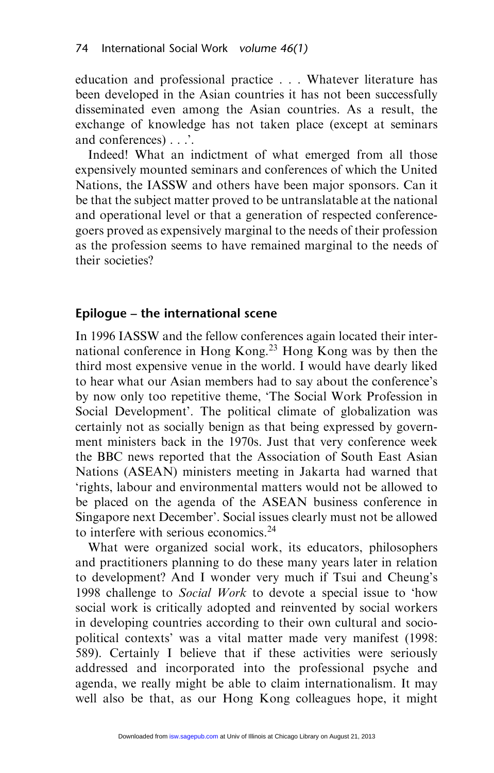education and professional practice . . . Whatever literature has been developed in the Asian countries it has not been successfully disseminated even among the Asian countries. As a result, the exchange of knowledge has not taken place (except at seminars and conferences) . . .'.

Indeed! What an indictment of what emerged from all those expensively mounted seminars and conferences of which the United Nations, the IASSW and others have been major sponsors. Can it be that the subject matter proved to be untranslatable at the national and operational level or that a generation of respected conferencegoers proved as expensively marginal to the needs of their profession as the profession seems to have remained marginal to the needs of their societies?

#### Epilogue - the international scene

In 1996 IASSW and the fellow conferences again located their international conference in Hong Kong.<sup>23</sup> Hong Kong was by then the third most expensive venue in the world. I would have dearly liked to hear what our Asian members had to say about the conference's by now only too repetitive theme, 'The Social Work Profession in Social Development'. The political climate of globalization was certainly not as socially benign as that being expressed by government ministers back in the 1970s. Just that very conference week the BBC news reported that the Association of South East Asian Nations (ASEAN) ministers meeting in Jakarta had warned that 'rights, labour and environmental matters would not be allowed to be placed on the agenda of the ASEAN business conference in Singapore next December'. Social issues clearly must not be allowed to interfere with serious economics. $24$ 

What were organized social work, its educators, philosophers and practitioners planning to do these many years later in relation to development? And I wonder very much if Tsui and Cheung's 1998 challenge to Social Work to devote a special issue to 'how social work is critically adopted and reinvented by social workers in developing countries according to their own cultural and sociopolitical contexts' was a vital matter made very manifest (1998: 589). Certainly I believe that if these activities were seriously addressed and incorporated into the professional psyche and agenda, we really might be able to claim internationalism. It may well also be that, as our Hong Kong colleagues hope, it might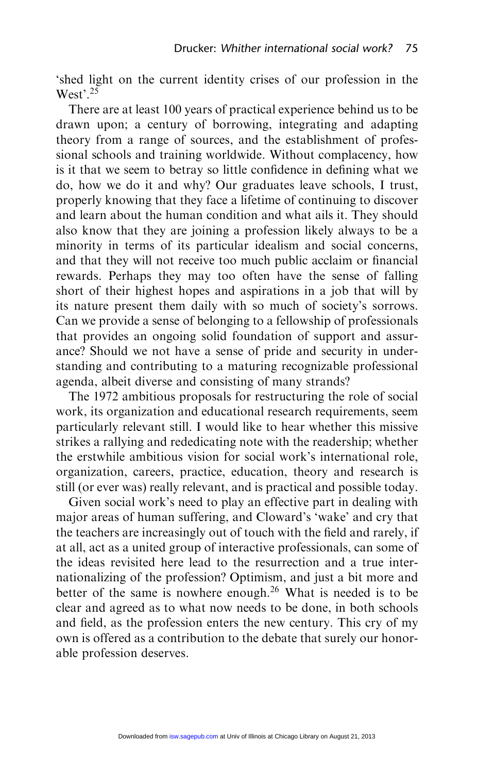'shed light on the current identity crises of our profession in the West'. $25$ 

There are at least 100 years of practical experience behind us to be drawn upon; a century of borrowing, integrating and adapting theory from a range of sources, and the establishment of professional schools and training worldwide. Without complacency, how is it that we seem to betray so little confidence in defining what we do, how we do it and why? Our graduates leave schools, I trust, properly knowing that they face a lifetime of continuing to discover and learn about the human condition and what ails it. They should also know that they are joining a profession likely always to be a minority in terms of its particular idealism and social concerns, and that they will not receive too much public acclaim or financial rewards. Perhaps they may too often have the sense of falling short of their highest hopes and aspirations in a job that will by its nature present them daily with so much of society's sorrows. Can we provide a sense of belonging to a fellowship of professionals that provides an ongoing solid foundation of support and assurance? Should we not have a sense of pride and security in understanding and contributing to a maturing recognizable professional agenda, albeit diverse and consisting of many strands?

The 1972 ambitious proposals for restructuring the role of social work, its organization and educational research requirements, seem particularly relevant still. I would like to hear whether this missive strikes a rallying and rededicating note with the readership: whether the erstwhile ambitious vision for social work's international role, organization, careers, practice, education, theory and research is still (or ever was) really relevant, and is practical and possible today.

Given social work's need to play an effective part in dealing with major areas of human suffering, and Cloward's 'wake' and cry that the teachers are increasingly out of touch with the field and rarely, if at all, act as a united group of interactive professionals, can some of the ideas revisited here lead to the resurrection and a true internationalizing of the profession? Optimism, and just a bit more and better of the same is nowhere enough.<sup>26</sup> What is needed is to be clear and agreed as to what now needs to be done, in both schools and field, as the profession enters the new century. This cry of my own is offered as a contribution to the debate that surely our honorable profession deserves.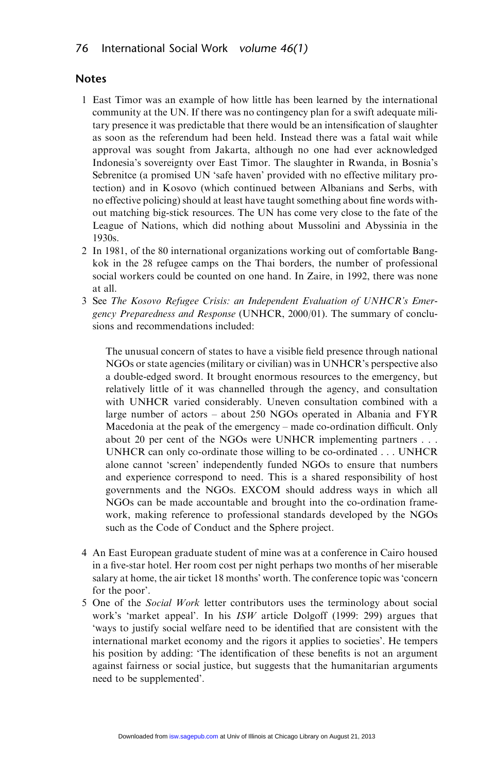#### **Notes**

- 1 East Timor was an example of how little has been learned by the international community at the UN. If there was no contingency plan for a swift adequate military presence it was predictable that there would be an intensification of slaughter as soon as the referendum had been held. Instead there was a fatal wait while approval was sought from Jakarta, although no one had ever acknowledged Indonesia's sovereignty over East Timor. The slaughter in Rwanda, in Bosnia's Sebrenitce (a promised UN 'safe haven' provided with no effective military protection) and in Kosovo (which continued between Albanians and Serbs, with no effective policing) should at least have taught something about fine words without matching big-stick resources. The UN has come very close to the fate of the League of Nations, which did nothing about Mussolini and Abyssinia in the 1930s.
- 2 In 1981, of the 80 international organizations working out of comfortable Bangkok in the 28 refugee camps on the Thai borders, the number of professional social workers could be counted on one hand. In Zaire, in 1992, there was none at all.
- 3 See The Kosovo Refugee Crisis: an Independent Evaluation of UNHCR's Emergency Preparedness and Response (UNHCR, 2000/01). The summary of conclusions and recommendations included:

The unusual concern of states to have a visible field presence through national NGOs or state agencies (military or civilian) was in UNHCR's perspective also a double-edged sword. It brought enormous resources to the emergency, but relatively little of it was channelled through the agency, and consultation with UNHCR varied considerably. Uneven consultation combined with a large number of actors  $-$  about 250 NGOs operated in Albania and FYR Macedonia at the peak of the emergency - made co-ordination difficult. Only about 20 per cent of the NGOs were UNHCR implementing partners . . . UNHCR can only co-ordinate those willing to be co-ordinated . . . UNHCR alone cannot 'screen' independently funded NGOs to ensure that numbers and experience correspond to need. This is a shared responsibility of host governments and the NGOs. EXCOM should address ways in which all NGOs can be made accountable and brought into the co-ordination framework, making reference to professional standards developed by the NGOs such as the Code of Conduct and the Sphere project.

- 4 An East European graduate student of mine was at a conference in Cairo housed in a five-star hotel. Her room cost per night perhaps two months of her miserable salary at home, the air ticket 18 months' worth. The conference topic was 'concern for the poor'.
- 5 One of the *Social Work* letter contributors uses the terminology about social work's 'market appeal'. In his  $ISW$  article Dolgoff (1999: 299) argues that 'ways to justify social welfare need to be identified that are consistent with the international market economy and the rigors it applies to societies'. He tempers his position by adding: 'The identification of these benefits is not an argument against fairness or social justice, but suggests that the humanitarian arguments need to be supplemented'.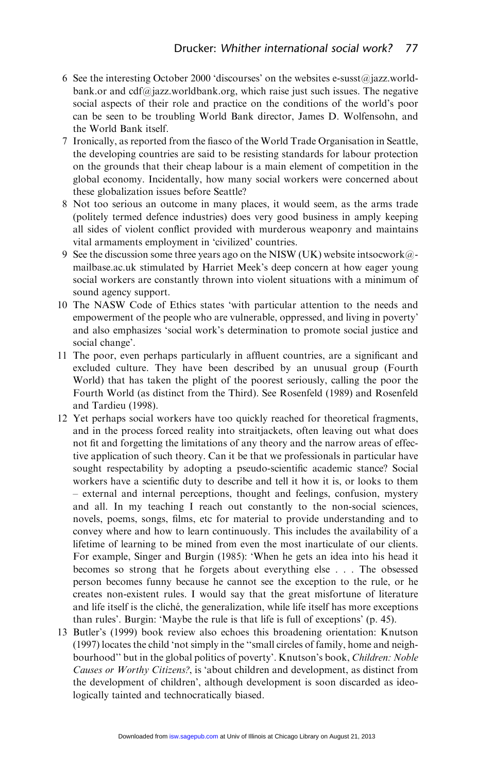- 6 See the interesting October 2000 'discourses' on the websites e-susst $(a)$  jazz worldbank.or and cdf@jazz.worldbank.org, which raise just such issues. The negative social aspects of their role and practice on the conditions of the world's poor can be seen to be troubling World Bank director, James D. Wolfensohn, and the World Bank itself.
- 7 Ironically, as reported from the fiasco of the World Trade Organisation in Seattle, the developing countries are said to be resisting standards for labour protection on the grounds that their cheap labour is a main element of competition in the global economy. Incidentally, how many social workers were concerned about these globalization issues before Seattle?
- 8 Not too serious an outcome in many places, it would seem, as the arms trade (politely termed defence industries) does very good business in amply keeping all sides of violent conflict provided with murderous weaponry and maintains vital armaments employment in 'civilized' countries.
- 9 See the discussion some three years ago on the NISW (UK) website intsocwork $@$ mailbase.ac.uk stimulated by Harriet Meek's deep concern at how eager young social workers are constantly thrown into violent situations with a minimum of sound agency support.
- 10 The NASW Code of Ethics states 'with particular attention to the needs and empowerment of the people who are vulnerable, oppressed, and living in poverty' and also emphasizes 'social work's determination to promote social justice and social change'.
- 11 The poor, even perhaps particularly in affluent countries, are a significant and excluded culture. They have been described by an unusual group (Fourth World) that has taken the plight of the poorest seriously, calling the poor the Fourth World (as distinct from the Third). See Rosenfeld (1989) and Rosenfeld and Tardieu (1998).
- 12 Yet perhaps social workers have too quickly reached for theoretical fragments, and in the process forced reality into strait ackets, often leaving out what does not fit and forgetting the limitations of any theory and the narrow areas of effective application of such theory. Can it be that we professionals in particular have sought respectability by adopting a pseudo-scientific academic stance? Social workers have a scientific duty to describe and tell it how it is, or looks to them - external and internal perceptions, thought and feelings, confusion, mystery and all. In my teaching I reach out constantly to the non-social sciences, novels, poems, songs, films, etc for material to provide understanding and to convey where and how to learn continuously. This includes the availability of a lifetime of learning to be mined from even the most inarticulate of our clients. For example, Singer and Burgin (1985): 'When he gets an idea into his head it becomes so strong that he forgets about everything else... The obsessed person becomes funny because he cannot see the exception to the rule, or he creates non-existent rules. I would say that the great misfortune of literature and life itself is the cliché, the generalization, while life itself has more exceptions than rules'. Burgin: 'Maybe the rule is that life is full of exceptions' (p. 45).
- 13 Butler's (1999) book review also echoes this broadening orientation: Knutson (1997) locates the child 'not simply in the "small circles of family, home and neighbourhood" but in the global politics of poverty'. Knutson's book, Children: Noble Causes or Worthy Citizens?, is 'about children and development, as distinct from the development of children', although development is soon discarded as ideologically tainted and technocratically biased.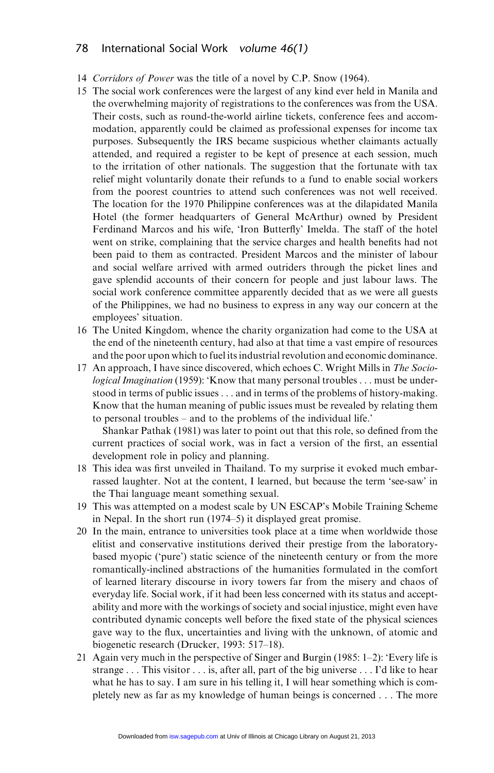#### 78 International Social Work volume 46(1)

- 14 Corridors of Power was the title of a novel by C.P. Snow (1964).
- 15 The social work conferences were the largest of any kind ever held in Manila and the overwhelming majority of registrations to the conferences was from the USA. Their costs, such as round-the-world airline tickets, conference fees and accommodation, apparently could be claimed as professional expenses for income tax purposes. Subsequently the IRS became suspicious whether claimants actually attended, and required a register to be kept of presence at each session, much to the irritation of other nationals. The suggestion that the fortunate with tax relief might voluntarily donate their refunds to a fund to enable social workers from the poorest countries to attend such conferences was not well received. The location for the 1970 Philippine conferences was at the dilapidated Manila Hotel (the former headquarters of General McArthur) owned by President Ferdinand Marcos and his wife, 'Iron Butterfly' Imelda. The staff of the hotel went on strike, complaining that the service charges and health benefits had not been paid to them as contracted. President Marcos and the minister of labour and social welfare arrived with armed outriders through the picket lines and gave splendid accounts of their concern for people and just labour laws. The social work conference committee apparently decided that as we were all guests of the Philippines, we had no business to express in any way our concern at the employees' situation.
- 16 The United Kingdom, whence the charity organization had come to the USA at the end of the nineteenth century, had also at that time a vast empire of resources and the poor upon which to fuel its industrial revolution and economic dominance.
- 17 An approach, I have since discovered, which echoes C. Wright Mills in The Socio*logical Imagination* (1959): 'Know that many personal troubles . . . must be understood in terms of public issues . . . and in terms of the problems of history-making. Know that the human meaning of public issues must be revealed by relating them to personal troubles – and to the problems of the individual life.

Shankar Pathak (1981) was later to point out that this role, so defined from the current practices of social work, was in fact a version of the first, an essential development role in policy and planning.

- 18 This idea was first unveiled in Thailand. To my surprise it evoked much embarrassed laughter. Not at the content, I learned, but because the term 'see-saw' in the Thai language meant something sexual.
- 19 This was attempted on a modest scale by UN ESCAP's Mobile Training Scheme in Nepal. In the short run (1974–5) it displayed great promise.
- 20 In the main, entrance to universities took place at a time when worldwide those elitist and conservative institutions derived their prestige from the laboratorybased myopic ('pure') static science of the nineteenth century or from the more romantically-inclined abstractions of the humanities formulated in the comfort of learned literary discourse in ivory towers far from the misery and chaos of everyday life. Social work, if it had been less concerned with its status and acceptability and more with the workings of society and social injustice, might even have contributed dynamic concepts well before the fixed state of the physical sciences gave way to the flux, uncertainties and living with the unknown, of atomic and biogenetic research (Drucker, 1993: 517-18).
- 21 Again very much in the perspective of Singer and Burgin (1985: 1–2): 'Every life is strange  $\dots$  This visitor  $\dots$  is, after all, part of the big universe  $\dots$  I'd like to hear what he has to say. I am sure in his telling it, I will hear something which is completely new as far as my knowledge of human beings is concerned . . . The more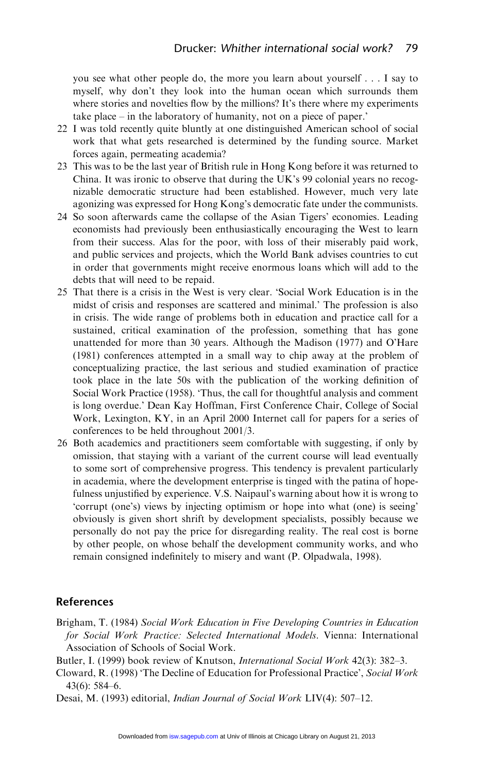you see what other people do, the more you learn about yourself... I say to myself, why don't they look into the human ocean which surrounds them where stories and novelties flow by the millions? It's there where my experiments take place  $-$  in the laboratory of humanity, not on a piece of paper.'

- 22 I was told recently quite bluntly at one distinguished American school of social work that what gets researched is determined by the funding source. Market forces again, permeating academia?
- 23 This was to be the last year of British rule in Hong Kong before it was returned to China. It was ironic to observe that during the UK's 99 colonial years no recognizable democratic structure had been established. However, much very late agonizing was expressed for Hong Kong's democratic fate under the communists.
- 24 So soon afterwards came the collapse of the Asian Tigers' economies. Leading economists had previously been enthusiastically encouraging the West to learn from their success. Alas for the poor, with loss of their miserably paid work, and public services and projects, which the World Bank advises countries to cut in order that governments might receive enormous loans which will add to the debts that will need to be repaid.
- 25 That there is a crisis in the West is very clear. 'Social Work Education is in the midst of crisis and responses are scattered and minimal.' The profession is also in crisis. The wide range of problems both in education and practice call for a sustained, critical examination of the profession, something that has gone unattended for more than 30 years. Although the Madison (1977) and O'Hare (1981) conferences attempted in a small way to chip away at the problem of conceptualizing practice, the last serious and studied examination of practice took place in the late 50s with the publication of the working definition of Social Work Practice (1958). 'Thus, the call for thoughtful analysis and comment is long overdue.' Dean Kay Hoffman, First Conference Chair, College of Social Work, Lexington, KY, in an April 2000 Internet call for papers for a series of conferences to be held throughout 2001/3.
- 26 Both academics and practitioners seem comfortable with suggesting, if only by omission, that staying with a variant of the current course will lead eventually to some sort of comprehensive progress. This tendency is prevalent particularly in academia, where the development enterprise is tinged with the patina of hopefulness unjustified by experience. V.S. Naipaul's warning about how it is wrong to 'corrupt (one's) views by injecting optimism or hope into what (one) is seeing' obviously is given short shrift by development specialists, possibly because we personally do not pay the price for disregarding reality. The real cost is borne by other people, on whose behalf the development community works, and who remain consigned indefinitely to misery and want (P. Olpadwala, 1998).

#### **References**

- Brigham, T. (1984) Social Work Education in Five Developing Countries in Education for Social Work Practice: Selected International Models. Vienna: International Association of Schools of Social Work.
- Butler, I. (1999) book review of Knutson, *International Social Work* 42(3): 382-3.
- Cloward, R. (1998) 'The Decline of Education for Professional Practice', Social Work  $43(6): 584-6.$
- Desai, M. (1993) editorial, *Indian Journal of Social Work LIV(4)*: 507-12.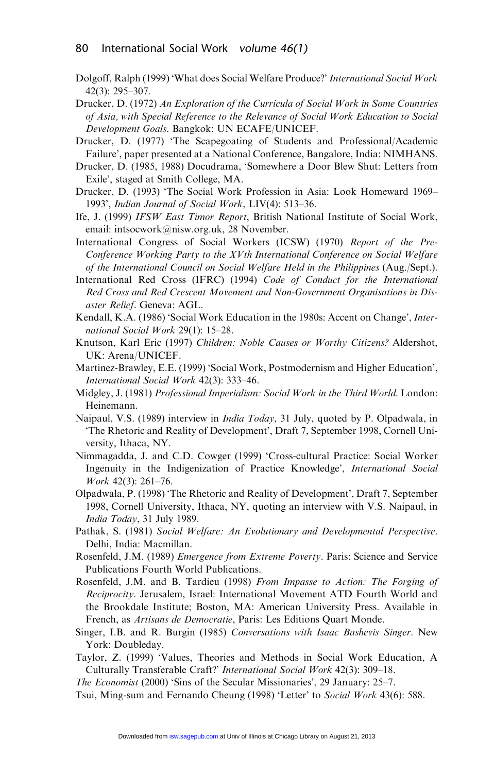- Dolgoff, Ralph (1999) 'What does Social Welfare Produce?' International Social Work 42(3): 295-307.
- Drucker, D. (1972) An Exploration of the Curricula of Social Work in Some Countries of Asia, with Special Reference to the Relevance of Social Work Education to Social Development Goals. Bangkok: UN ECAFE/UNICEF.
- Drucker, D. (1977) 'The Scapegoating of Students and Professional/Academic Failure', paper presented at a National Conference, Bangalore, India: NIMHANS.
- Drucker, D. (1985, 1988) Docudrama, 'Somewhere a Door Blew Shut: Letters from Exile', staged at Smith College, MA.
- Drucker, D. (1993) 'The Social Work Profession in Asia: Look Homeward 1969-1993', Indian Journal of Social Work, LIV(4): 513-36.
- Ife, J. (1999) IFSW East Timor Report, British National Institute of Social Work, email: intsocwork@nisw.org.uk, 28 November.
- International Congress of Social Workers (ICSW) (1970) Report of the Pre-Conference Working Party to the XVth International Conference on Social Welfare of the International Council on Social Welfare Held in the Philippines (Aug./Sept.).
- International Red Cross (IFRC) (1994) Code of Conduct for the International Red Cross and Red Crescent Movement and Non-Government Organisations in Disaster Relief. Geneva: AGL.
- Kendall, K.A. (1986) 'Social Work Education in the 1980s: Accent on Change', International Social Work 29(1): 15-28.
- Knutson, Karl Eric (1997) Children: Noble Causes or Worthy Citizens? Aldershot, UK: Arena/UNICEF.
- Martinez-Brawley, E.E. (1999) 'Social Work, Postmodernism and Higher Education', International Social Work 42(3): 333-46.
- Midgley, J. (1981) Professional Imperialism: Social Work in the Third World. London: Heinemann.
- Naipaul, V.S. (1989) interview in *India Today*, 31 July, quoted by P. Olpadwala, in 'The Rhetoric and Reality of Development', Draft 7, September 1998, Cornell University, Ithaca, NY.
- Nimmagadda, J. and C.D. Cowger (1999) 'Cross-cultural Practice: Social Worker Ingenuity in the Indigenization of Practice Knowledge', International Social Work 42(3): 261-76.
- Olpadwala, P. (1998) 'The Rhetoric and Reality of Development', Draft 7, September 1998, Cornell University, Ithaca, NY, quoting an interview with V.S. Naipaul, in India Today, 31 July 1989.
- Pathak, S. (1981) Social Welfare: An Evolutionary and Developmental Perspective. Delhi, India: Macmillan.
- Rosenfeld, J.M. (1989) *Emergence from Extreme Poverty*. Paris: Science and Service Publications Fourth World Publications.
- Rosenfeld, J.M. and B. Tardieu (1998) From Impasse to Action: The Forging of Reciprocity. Jerusalem, Israel: International Movement ATD Fourth World and the Brookdale Institute; Boston, MA: American University Press. Available in French, as Artisans de Democratie, Paris: Les Editions Quart Monde.
- Singer, I.B. and R. Burgin (1985) Conversations with Isaac Bashevis Singer. New York: Doubleday.
- Taylor, Z. (1999) 'Values, Theories and Methods in Social Work Education, A Culturally Transferable Craft?' International Social Work 42(3): 309-18.

*The Economist* (2000) 'Sins of the Secular Missionaries', 29 January: 25–7.

Tsui, Ming-sum and Fernando Cheung (1998) 'Letter' to Social Work 43(6): 588.